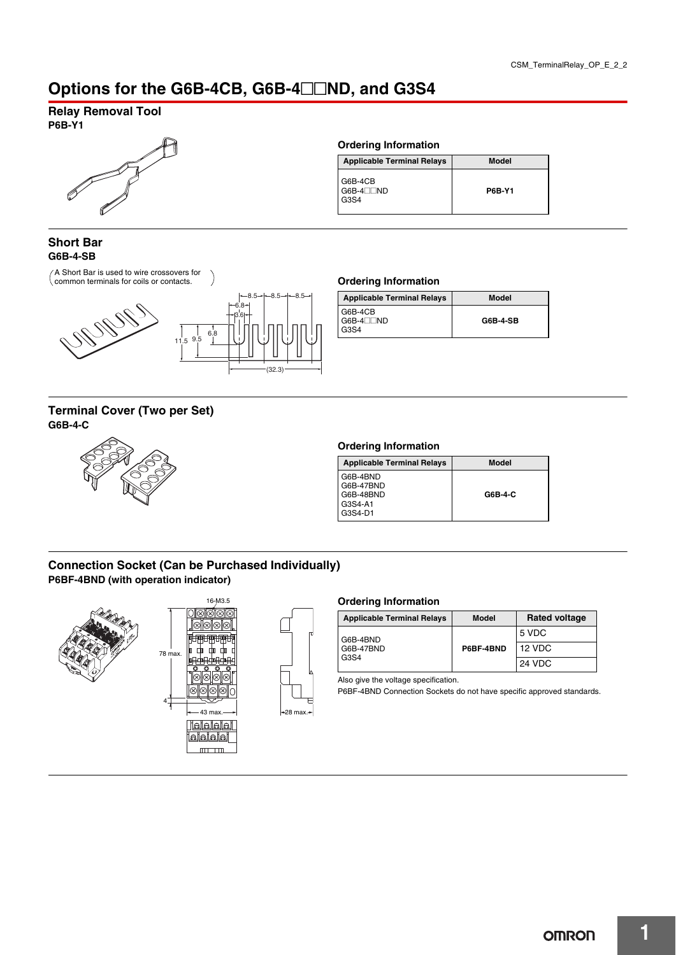# Options for the G6B-4CB, G6B-4<sup>1</sup>ND, and G3S4

# **Relay Removal Tool**

**P6B-Y1**



# **Ordering Information**

| <b>Applicable Terminal Relays</b>    | <b>Model</b>  |
|--------------------------------------|---------------|
| G6B-4CB<br>$G6B-4\square ND$<br>G3S4 | <b>P6B-Y1</b> |

### **Short Bar G6B-4-SB**

A Short Bar is used to wire crossovers for common terminals for coils or contacts. **Ordering Information**



# **Terminal Cover (Two per Set) G6B-4-C**



| <b>Applicable Terminal Relays</b> | Model           |
|-----------------------------------|-----------------|
| G6B-4CB<br>$G6B-4$ ND<br>G3S4     | <b>G6B-4-SB</b> |

#### **Ordering Information**

| <b>Applicable Terminal Relays</b>             | Model   |
|-----------------------------------------------|---------|
| G6B-4BND<br>G6B-47BND<br>G6B-48BND<br>G3S4-A1 | G6B-4-C |
| G3S4-D1                                       |         |

# **Connection Socket (Can be Purchased Individually) P6BF-4BND (with operation indicator)**



### **Ordering Information**

| <b>Applicable Terminal Relays</b> | Model     | <b>Rated voltage</b> |
|-----------------------------------|-----------|----------------------|
| G6B-4BND<br>G6B-47BND<br>G3S4     | P6BF-4BND | 5 VDC                |
|                                   |           | 12 VDC               |
|                                   |           | 24 VDC               |

Also give the voltage specification.

P6BF-4BND Connection Sockets do not have specific approved standards.